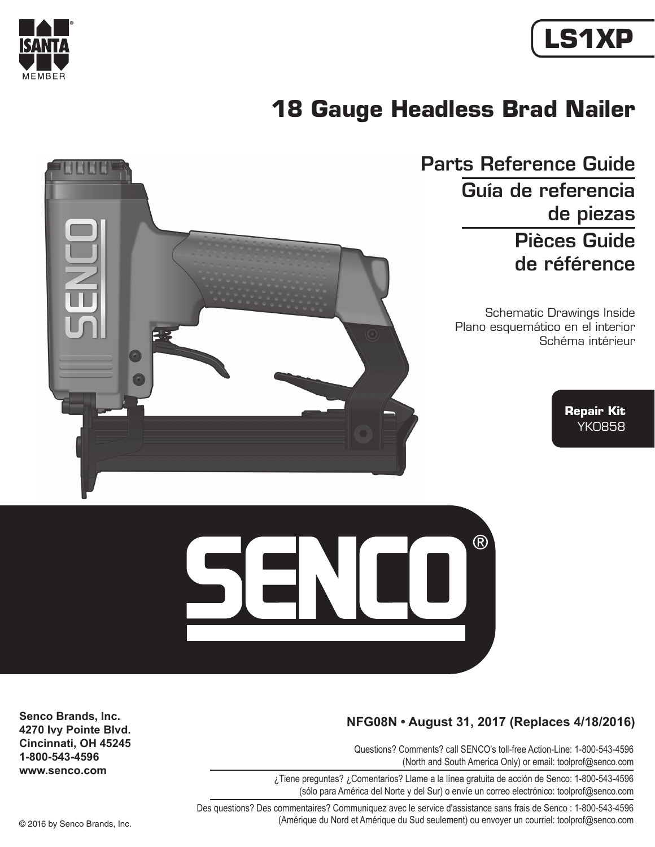

# **LS1XP**

# **18 Gauge Headless Brad Nailer**



Parts Reference Guide Guía de referencia de piezas Pièces Guide de référence

> Schematic Drawings Inside Plano esquemático en el interior Schéma intérieur

> > **Repair Kit** YK0858



#### **NFG08N • August 31, 2017 (Replaces 4/18/2016)**

Questions? Comments? call SENCO's toll-free Action-Line: 1-800-543-4596 (North and South America Only) or email: toolprof@senco.com

¿Tiene preguntas? ¿Comentarios? Llame a la línea gratuita de acción de Senco: 1-800-543-4596 (sólo para América del Norte y del Sur) o envíe un correo electrónico: toolprof@senco.com

**Senco Brands, Inc. 4270 Ivy Pointe Blvd. Cincinnati, OH 45245 1-800-543-4596 www.senco.com**

Des questions? Des commentaires? Communiquez avec le service d'assistance sans frais de Senco : 1-800-543-4596 © 2016 by Senco Brands, Inc. (Amérique du Nord et Amérique du Sud seulement) ou envoyer un courriel: toolprof@senco.com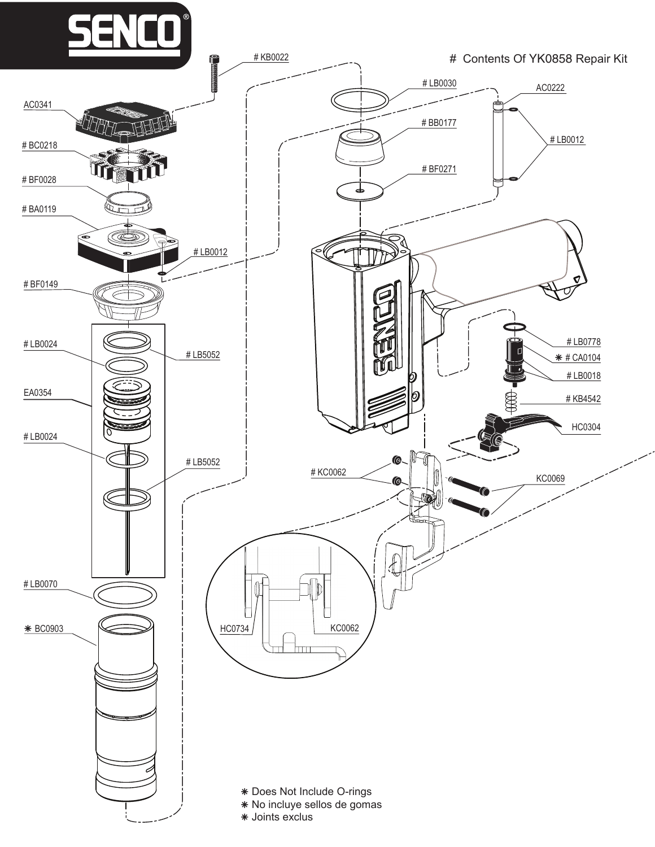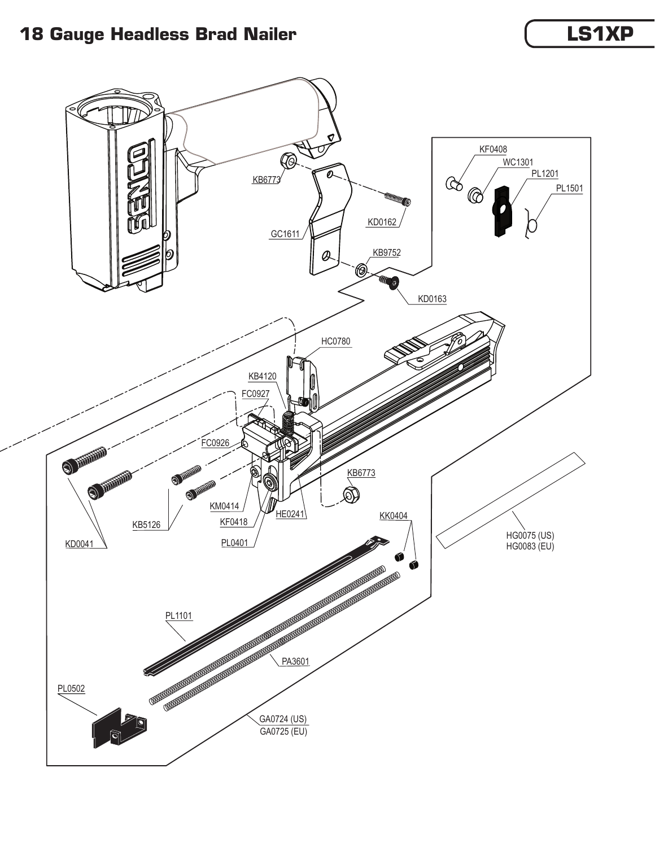### **18 Gauge Headless Brad Nailer**

## **LS1XP**